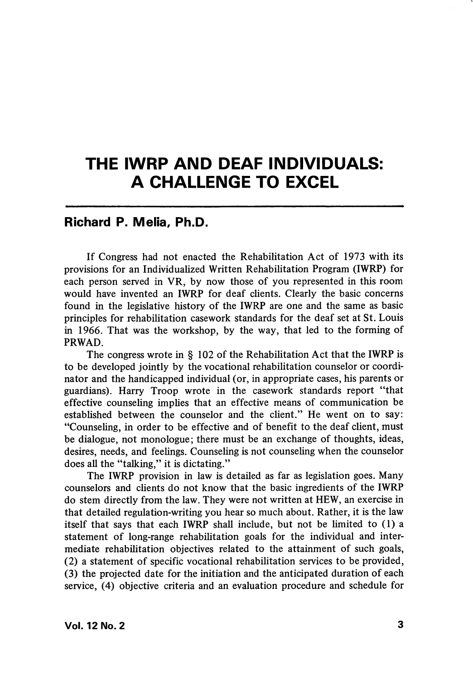## THE IWRP AND DEAF INDIVIDUALS: A CHALLENGE TO EXCEL

## Richard P. Mella, Ph.D.

If Congress had not enacted the Rehabilitation Act of 1973 with its provisions for an Individualized Written Rehabilitation Program (IWRP) for each person served in VR, by now those of you represented in this room would have invented an IWRP for deaf clients. Clearly the basic concerns found in the legislative history of the IWRP are one and the same as basic principles for rehabilitation casework standards for the deaf set at St. Louis in 1966. That was the workshop, by the way, that led to the forming of PRWAD.

The congress wrote in § 102 of the Rehabilitation Act that the IWRP is to be developed jointly by the vocational rehabilitation counselor or coordi nator and the handicapped individual (or, in appropriate cases, his parents or guardians). Harry Troop wrote in the casework standards report "that effective counsehng implies that an effective means of communication be established between the counselor and the client." He went on to say: "Counseling, in order to be effective and of benefit to the deaf client, must be dialogue, not monologue; there must be an exchange of thoughts, ideas, desires, needs, and feelings. Counseling is not counseling when the counselor does all the "talking," it is dictating."

The IWRP provision in law is detailed as far as legislation goes. Many counselors and clients do not know that the basic ingredients of the IWRP do stem directly from the law. They were not written at HEW, an exercise in that detailed regulation-writing you hear so much about. Rather, it is the law itself that says that each IWRP shall include, but not be limited to (1) a statement of long-range rehabilitation goals for the individual and inter mediate rehabilitation objectives related to the attainment of such goals, (2) a statement of specific vocational rehabilitation services to be provided, (3) the projected date for the initiation and the anticipated duration of each service, (4) objective criteria and an evaluation procedure and schedule for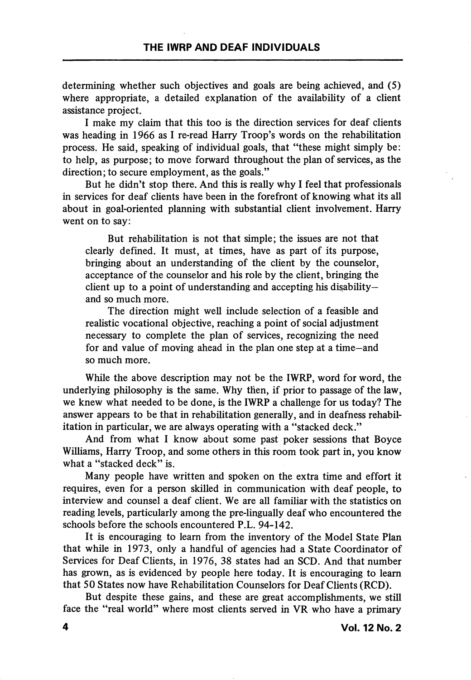determining whether such objectives and goals are being achieved, and (5) where appropriate, a detailed explanation of the availability of a client assistance project.

I make my claim that this too is the direction services for deaf clients was heading in 1966 as I re-read Harry Troop's words on the rehabilitation process. He said, speaking of individual goals, that "these might simply be: to help, as purpose; to move forward throughout the plan of services, as the direction; to secure employment, as the goals."

But he didn't stop there. And this is really why I feel that professionals in services for deaf clients have been in the forefront of knowing what its all about in goal-oriented planning with substantial client involvement. Harry went on to say:

But rehabilitation is not that simple; the issues are not that clearly defined. It must, at times, have as part of its purpose, bringing about an understanding of the client by the counselor, acceptance of the counselor and his role by the client, bringing the client up to a point of understanding and accepting his disability and so much more.

The direction might well include selection of a feasible and realistic vocational objective, reaching a point of social adjustment necessary to complete the plan of services, recognizing the need for and value of moving ahead in the plan one step at a time—and so much more.

While the above description may not be the IWRP, word for word, the underlying philosophy is the same. Why then, if prior to passage of the law, we knew what needed to be done, is the IWRP a challenge for us today? The answer appears to be that in rehabilitation generally, and in deafness rehabilitation in particular, we are always operating with a "stacked deck."

And from what I know about some past poker sessions that Boyce Williams, Harry Troop, and some others in this room took part in, you know what a "stacked deck" is.

Many people have written and spoken on the extra time and effort it requires, even for a person skilled in communication with deaf people, to interview and counsel a deaf client. We are all familiar with the statistics on reading levels, particularly among the pre-lingually deaf who encountered the schools before the schools encountered P.L. 94-142.

It is encouraging to leam from the inventory of the Model State Plan that while in 1973, only a handful of agencies had a State Coordinator of Services for Deaf Clients, in 1976, 38 states had an SCD. And that number has grown, as is evidenced by people here today. It is encouraging to leam that 50 States now have Rehabilitation Counselors for Deaf Clients (RCD).

But despite these gains, and these are great accomplishments, we still face the "real world" where most clients served in VR who have a primary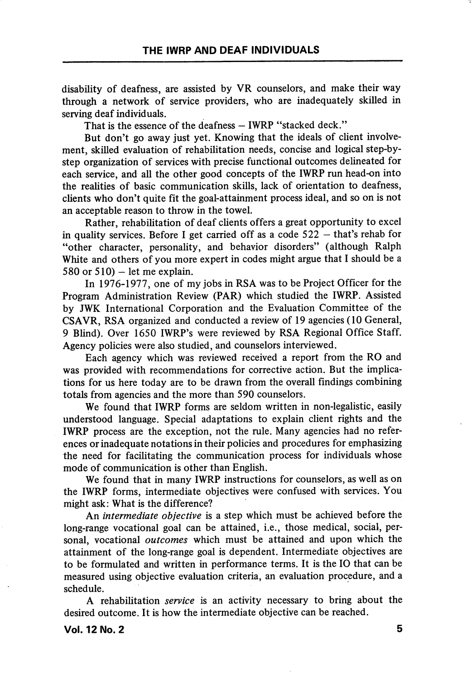disability of deafness, are assisted by VR counselors, and make their way through a network of service providers, who are inadequately skilled in serving deaf individuals.

That is the essence of the deafness - IWRP "stacked deck."

But don't go away just yet. Knowing that the ideals of client involvement, skilled evaluation of rehabilitation needs, concise and logical step-bystep organization of services with precise functional outcomes delineated for each service, and all the other good concepts of the IWRP run head-on into the realities of basic communication skills, lack of orientation to deafness, clients who don't quite fit the goal-attainment process ideal, and so on is not an acceptable reason to throw in the towel.

Rather, rehabilitation of deaf clients offers a great opportunity to excel in quality services. Before I get carried off as a code 522 — that's rehab for "other character, personality, and behavior disorders" (although Ralph White and others of you more expert in codes might argue that I should be a 580 or 510) – let me explain.

In 1976-1977, one of my jobs in RSA was to be Project Officer for the Program Administration Review (PAR) which studied the IWRP. Assisted by JWK International Corporation and the Evaluation Committee of the CSAVR, RSA organized and conducted a review of 19 agencies (10 General, 9 Blind). Over 1650 IWRP's were reviewed by RSA Regional Office Staff. Agency policies were also studied, and counselors interviewed.

Each agency which was reviewed received a report from the RO and was provided with recommendations for corrective action. But the implica tions for us here today are to be drawn from the overall findings combining totals from agencies and the more than 590 counselors.

We found that IWRP forms are seldom written in non-legalistic, easily understood language. Special adaptations to explain client rights and the IWRP process are the exception, not the rule. Many agencies had no refer ences or inadequate notations in their policies and procedures for emphasizing the need for facilitating the communication process for individuals whose mode of communication is other than English.

We found that in many IWRP instructions for counselors, as well as on the IWRP forms, intermediate objectives were confused with services. You might ask: What is the difference?

An intermediate objective is a step which must be achieved before the long-range vocational goal can be attained, i.e., those medical, social, per sonal, vocational outcomes which must be attained and upon which the attainment of the long-range goal is dependent. Intermediate objectives are to be formulated and written in performance terms. It is the 10 that can be measured using objective evaluation criteria, an evaluation procedure, and a schedule.

A rehabilitation *service* is an activity necessary to bring about the desired outcome. It is how the intermediate objective can be reached.

Vol. 12 No. 2  $\hspace{1.5cm}$  5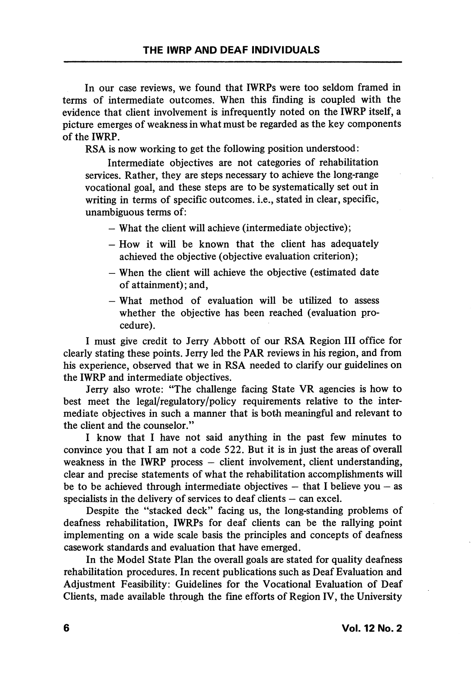In our case reviews, we found that IWRPs were too seldom framed in terms of intermediate outcomes. When this finding is coupled with the evidence that client involvement is infrequently noted on the IWRP itself, a picture emerges of weakness in what must be regarded as the key components of the IWRP.

RSA is now working to get the following position understood:

Intermediate objectives are not categories of rehabilitation services. Rather, they are steps necessary to achieve the long-range vocational goal, and these steps are to be systematically set out in writing in terms of specific outcomes, i.e., stated in clear, specific, unambiguous terms of:

— What the client will achieve (intermediate objective);

- $-$  How it will be known that the client has adequately achieved the objective (objective evaluation criterion);
- When the client will achieve the objective (estimated date of attainment); and,
- What method of evaluation will be utilized to assess whether the objective has been reached (evaluation pro cedure).

1 must give credit to Jerry Abbott of our RSA Region 111 office for clearly stating these points. Jerry led the PAR reviews in his region, and from his experience, observed that we in RSA needed to clarify our guidelines on the IWRP and intermediate objectives.

Jerry also wrote: "The challenge facing State VR agencies is how to best meet the legal/regulatory/policy requirements relative to the inter mediate objectives in such a manner that is both meaningful and relevant to the client and the counselor."

1 know that 1 have not said anything in the past few minutes to convince you that 1 am not a code 522. But it is in just the areas of overall weakness in the IWRP process  $-$  client involvement, client understanding, clear and precise statements of what the rehabilitation accomplishments will be to be achieved through intermediate objectives  $-$  that I believe you  $-$  as specialists in the delivery of services to deaf clients — can excel.

Despite the "stacked deck" facing us, the long-standing problems of deafness rehabilitation, IWRPs for deaf clients can be the rallying point implementing on a wide scale basis the principles and concepts of deafness casework standards and evaluation that have emerged.

In the Model State Plan the overall goals are stated for quality deafness rehabilitation procedures. In recent publications such as Deaf Evaluation and Adjustment Feasibility: Guidelines for the Vocational Evaluation of Deaf Clients, made available through the fine efforts of Region IV, the University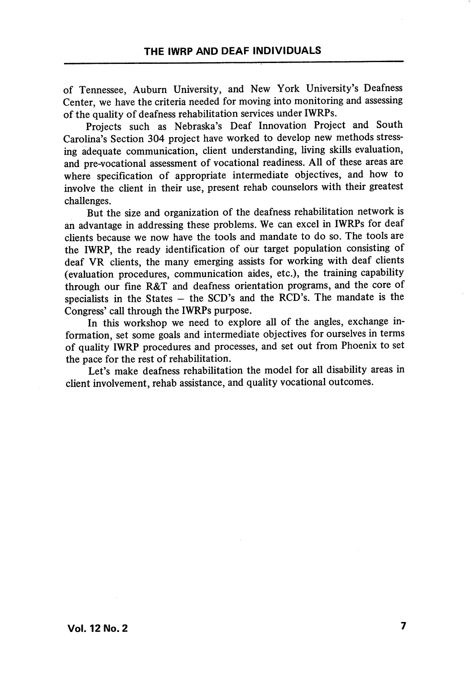of Tennessee, Auburn University, and New York University's Deafness Center, we have the criteria needed for moving into monitoring and assessing of the quality of deafness rehabilitation services under IWRPs.

Projects such as Nebraska's Deaf Innovation Project and South Carolina's Section 304 project have worked to develop new methods stress ing adequate communication, client understanding, living skills evaluation, and pre-vocational assessment of vocational readiness. All of these areas are where specification of appropriate intermediate objectives, and how to involve the client in their use, present rehab counselors with their greatest challenges.

But the size and organization of the deafness rehabilitation network is an advantage in addressing these problems. We can excel in IWRPs for deaf clients because we now have the tools and mandate to do so. The tools are the IWRP, the ready identification of our target population consisting of deaf VR clients, the many emerging assists for working with deaf clients (evaluation procedures, communication aides, etc.), the training capability through our fine R&T and deafness orientation programs, and the core of specialists in the States  $-$  the SCD's and the RCD's. The mandate is the Congress' call through the IWRPs purpose.

In this workshop we need to explore all of the angles, exchange in formation, set some goals and intermediate objectives for ourselves in terms of quahty IWRP procedures and processes, and set out from Phoenix to set the pace for the rest of rehabilitation.

Let's make deafness rehabilitation the model for all disability areas in client involvement, rehab assistance, and quality vocational outcomes.